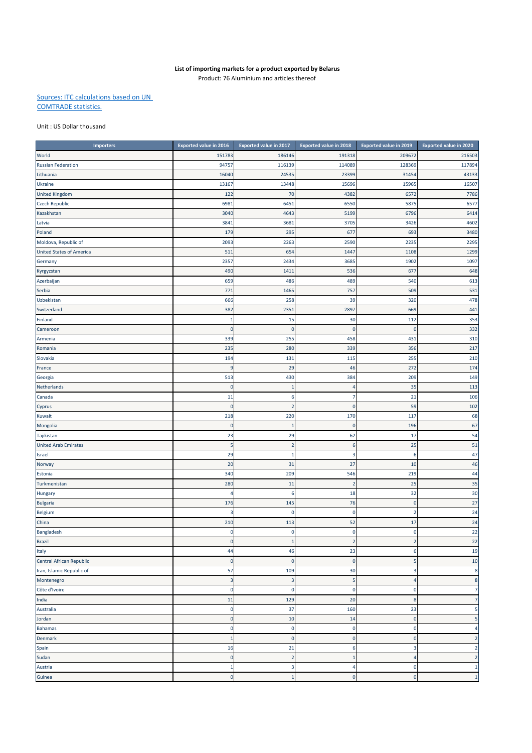## **List of importing markets for a product exported by Belarus**

Product: 76 Aluminium and articles thereof

## Sources: ITC calculations based on UN COMTRADE statistics.

## Unit : US Dollar thousand

| <b>Importers</b>                | <b>Exported value in 2016</b> | <b>Exported value in 2017</b> | <b>Exported value in 2018</b> | <b>Exported value in 2019</b> | <b>Exported value in 2020</b> |
|---------------------------------|-------------------------------|-------------------------------|-------------------------------|-------------------------------|-------------------------------|
| World                           | 151783                        | 186146                        | 191318                        | 209672                        | 216503                        |
| <b>Russian Federation</b>       | 9475                          | 116139                        | 114089                        | 128369                        | 117894                        |
| Lithuania                       | 16040                         | 24535                         | 23399                         | 31454                         | 43133                         |
| Ukraine                         | 1316                          | 13448                         | 15696                         | 15965                         | 16507                         |
| <b>United Kingdom</b>           | 122                           | 70                            | 4382                          | 657                           | 7786                          |
| <b>Czech Republic</b>           | 698                           | 6451                          | 6550                          | 5875                          | 6577                          |
| Kazakhstan                      | 3040                          | 4643                          | 5199                          | 6796                          | 6414                          |
| Latvia                          | 384                           | 3681                          | 3705                          | 3426                          | 4602                          |
| Poland                          | 179                           | 295                           | 677                           | 693                           | 3480                          |
| Moldova, Republic of            | 2093                          | 2263                          | 2590                          | 2235                          | 2295                          |
| <b>United States of America</b> | 511                           | 654                           | 1447                          | 1108                          | 1299                          |
| Germany                         | 2357                          | 2434                          | 3685                          | 1902                          | 1097                          |
| Kyrgyzstan                      | 490                           | 1411                          | 536                           | 677                           | 648                           |
| Azerbaijan                      | 659                           | 486                           | 489                           | 540                           | 613                           |
| Serbia                          | 771                           | 1465                          | 757                           | 509                           | 531                           |
| Uzbekistan                      | 666                           | 258                           | 39                            | 320                           | 478                           |
| Switzerland                     | 382                           | 2351                          | 2897                          | 669                           | 441                           |
| Finland                         | $\mathbf{1}$                  | 15                            | 30                            | 112                           | 353                           |
| Cameroon                        | $\mathbf 0$                   | $\mathbf 0$                   | $\mathbf 0$                   | O                             | 332                           |
| Armenia                         | 339                           | 255                           | 458                           | 431                           | 310                           |
| Romania                         | 235                           | 280                           | 339                           | 356                           | 217                           |
| Slovakia                        | 194                           | 131                           | 115                           | 255                           | 210                           |
| France                          | 9                             | 29                            | 46                            | 272                           | 174                           |
| Georgia                         | 513                           | 430                           | 384                           | 209                           | 149                           |
| Netherlands                     | $\mathbf 0$                   | 1                             | 4                             | 35                            | 113                           |
| Canada                          | 11                            | 6                             | 7                             | 21                            | 106                           |
| Cyprus                          | C                             | 2                             | $\bf{0}$                      | 59                            | 102                           |
| Kuwait                          | 218                           | 220                           | 170                           | 117                           | 68                            |
| Mongolia                        | $\mathbf 0$                   | 1                             | $\pmb{0}$                     | 196                           | 67                            |
| Tajikistan                      | 23                            | 29                            | 62                            | 17                            | 54                            |
| <b>United Arab Emirates</b>     | 5                             | $\overline{2}$                | $\boldsymbol{6}$              | 25                            | 51                            |
| Israel                          | 29                            | 1                             | 3                             | e                             | 47                            |
| Norway                          | 20                            | 31                            | 27                            | 10                            | 46                            |
| Estonia                         | 340                           | 209                           | 546                           | 219                           | 44                            |
| Turkmenistan                    | 280                           | 11                            | $\overline{2}$                | 25                            | 35                            |
| Hungary                         | 4                             | 6                             | 18                            | 32                            | 30                            |
| <b>Bulgaria</b>                 | 176                           | 145                           | 76                            | $\Omega$                      | 27                            |
| <b>Belgium</b>                  | з                             | 0                             | $\pmb{0}$                     |                               | 24                            |
| China                           | 210                           | 113                           | 52                            | 17                            | 24                            |
| Bangladesh                      | $\mathbf 0$                   | $\mathbf 0$                   | $\pmb{0}$                     | $\mathbf 0$                   | 22                            |
| Brazil                          | $\pmb{0}$                     | $\mathbf{1}$                  | $\mathbf 2$                   | $\mathcal{P}$                 | 22                            |
| Italy                           | 44                            | 46                            | 23                            | 6                             | 19                            |
| Central African Republic        | $\mathbf 0$                   | $\mathbf 0$                   | $\mathbf 0$                   | 5                             | 10                            |
| Iran, Islamic Republic of       | 57                            | 109                           | 30                            | 3                             | 8                             |
| Montenegro                      | $\overline{3}$                | $\overline{3}$                | 5                             | $\overline{4}$                | 8                             |
| Côte d'Ivoire                   | $\mathbf 0$                   | $\mathbf 0$                   | $\pmb{0}$                     | $\mathbf 0$                   | 7                             |
| India                           | 11                            | 129                           | 20                            | 8                             | 7                             |
| Australia                       | $\mathbf 0$                   | 37                            | 160                           | 23                            | 5                             |
| Jordan                          | $\mathbf 0$                   | 10                            | 14                            | $\mathbf 0$                   | 5                             |
| Bahamas                         | $\mathbf 0$                   | $\mathbf 0$                   | $\pmb{0}$                     | $\mathbf 0$                   | 4                             |
| Denmark                         | $\mathbf{1}$                  | $\mathbf 0$                   | $\pmb{0}$                     | $\mathbf 0$                   | $\overline{2}$                |
| Spain                           | 16                            | 21                            | 6                             | з                             | 2                             |
| Sudan                           | $\mathbf 0$                   | $\overline{2}$                | $\mathbf{1}$                  | 4                             | $\overline{2}$                |
| Austria                         | $\mathbf{1}$                  | 3                             | 4                             | $\mathbf 0$                   | $\mathbf{1}$                  |
| Guinea                          | $\mathbf 0$                   | $\overline{1}$                | $\mathbf 0$                   | $\mathbf 0$                   | $\overline{1}$                |